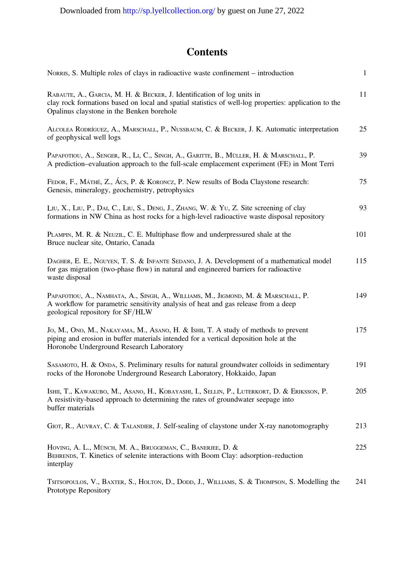## **Contents**

| NORRIS, S. Multiple roles of clays in radioactive waste confinement – introduction                                                                                                                                           | $\mathbf{1}$ |
|------------------------------------------------------------------------------------------------------------------------------------------------------------------------------------------------------------------------------|--------------|
| RABAUTE, A., GARCIA, M. H. & BECKER, J. Identification of log units in<br>clay rock formations based on local and spatial statistics of well-log properties: application to the<br>Opalinus claystone in the Benken borehole | 11           |
| ALCOLEA RODRÍGUEZ, A., MARSCHALL, P., NUSSBAUM, C. & BECKER, J. K. Automatic interpretation<br>of geophysical well logs                                                                                                      | 25           |
| PAPAFOTIOU, A., SENGER, R., LI, C., SINGH, A., GARITTE, B., MÜLLER, H. & MARSCHALL, P.<br>A prediction–evaluation approach to the full-scale emplacement experiment (FE) in Mont Terri                                       | 39           |
| FEDOR, F., MÁTHÉ, Z., ÁCS, P. & KORONCZ, P. New results of Boda Claystone research:<br>Genesis, mineralogy, geochemistry, petrophysics                                                                                       | 75           |
| LIU, X., LIU, P., DAI, C., LIU, S., DENG, J., ZHANG, W. & YU, Z. Site screening of clay<br>formations in NW China as host rocks for a high-level radioactive waste disposal repository                                       | 93           |
| PLAMPIN, M. R. & NEUZIL, C. E. Multiphase flow and underpressured shale at the<br>Bruce nuclear site, Ontario, Canada                                                                                                        | 101          |
| DAGHER, E. E., NGUYEN, T. S. & INFANTE SEDANO, J. A. Development of a mathematical model<br>for gas migration (two-phase flow) in natural and engineered barriers for radioactive<br>waste disposal                          | 115          |
| PAPAFOTIOU, A., NAMHATA, A., SINGH, A., WILLIAMS, M., JIGMOND, M. & MARSCHALL, P.<br>A workflow for parametric sensitivity analysis of heat and gas release from a deep<br>geological repository for SF/HLW                  | 149          |
| Jo, M., Ono, M., NAKAYAMA, M., ASANO, H. & ISHII, T. A study of methods to prevent<br>piping and erosion in buffer materials intended for a vertical deposition hole at the<br>Horonobe Underground Research Laboratory      | 175          |
| SASAMOTO, H. & ONDA, S. Preliminary results for natural groundwater colloids in sedimentary<br>rocks of the Horonobe Underground Research Laboratory, Hokkaido, Japan                                                        | 191          |
| ISHII, T., KAWAKUBO, M., ASANO, H., KOBAYASHI, I., SELLIN, P., LUTERKORT, D. & ERIKSSON, P.<br>A resistivity-based approach to determining the rates of groundwater seepage into<br>buffer materials                         | 205          |
| GIOT, R., AUVRAY, C. & TALANDIER, J. Self-sealing of claystone under X-ray nanotomography                                                                                                                                    | 213          |
| HOVING, A. L., MÜNCH, M. A., BRUGGEMAN, C., BANERJEE, D. &<br>BEHRENDS, T. Kinetics of selenite interactions with Boom Clay: adsorption-reduction<br>interplay                                                               | 225          |
| TSITSOPOULOS, V., BAXTER, S., HOLTON, D., DODD, J., WILLIAMS, S. & THOMPSON, S. Modelling the<br>Prototype Repository                                                                                                        | 241          |